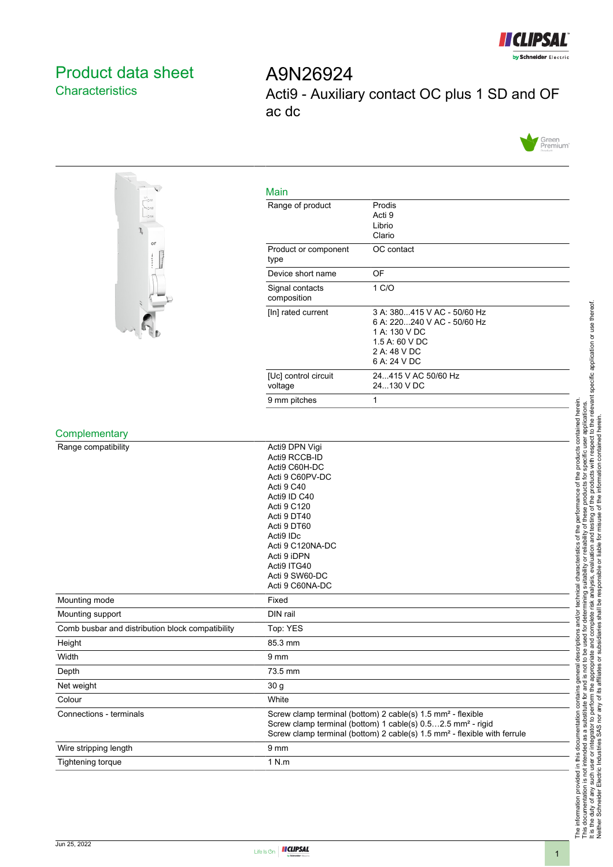

## <span id="page-0-0"></span>Product data sheet **Characteristics**

A9N26924 Acti9 - Auxiliary contact OC plus 1 SD and OF ac dc





| $-0.11$<br>4012<br>$-0.14$<br>OF                 | Range of product                                                                                                                                                                                                                                   | Prodis<br>Acti 9<br>Librio<br>Clario                                                                                          |
|--------------------------------------------------|----------------------------------------------------------------------------------------------------------------------------------------------------------------------------------------------------------------------------------------------------|-------------------------------------------------------------------------------------------------------------------------------|
|                                                  | Product or component<br>type                                                                                                                                                                                                                       | OC contact                                                                                                                    |
|                                                  | Device short name                                                                                                                                                                                                                                  | OF                                                                                                                            |
|                                                  | Signal contacts<br>composition                                                                                                                                                                                                                     | 1 C/O                                                                                                                         |
|                                                  | [In] rated current                                                                                                                                                                                                                                 | 3 A: 380415 V AC - 50/60 Hz<br>6 A: 220240 V AC - 50/60 Hz<br>1 A: 130 V DC<br>1.5 A: 60 V DC<br>2 A: 48 V DC<br>6 A: 24 V DC |
|                                                  | [Uc] control circuit<br>voltage                                                                                                                                                                                                                    | 24415 V AC 50/60 Hz<br>24130 V DC                                                                                             |
|                                                  | 9 mm pitches                                                                                                                                                                                                                                       | $\mathbf{1}$                                                                                                                  |
| Complementary                                    |                                                                                                                                                                                                                                                    |                                                                                                                               |
| Range compatibility                              | Acti9 DPN Vigi<br>Acti9 RCCB-ID<br>Acti9 C60H-DC<br>Acti 9 C60PV-DC<br>Acti 9 C40<br>Acti9 ID C40<br>Acti 9 C120<br>Acti 9 DT40<br>Acti 9 DT60<br>Acti9 IDc<br>Acti 9 C120NA-DC<br>Acti 9 iDPN<br>Acti9 ITG40<br>Acti 9 SW60-DC<br>Acti 9 C60NA-DC |                                                                                                                               |
| Mounting mode                                    | Fixed                                                                                                                                                                                                                                              |                                                                                                                               |
| Mounting support                                 | DIN rail                                                                                                                                                                                                                                           |                                                                                                                               |
| Comb busbar and distribution block compatibility | Top: YES                                                                                                                                                                                                                                           |                                                                                                                               |
| Height                                           | 85.3 mm                                                                                                                                                                                                                                            |                                                                                                                               |
| Width                                            | 9 <sub>mm</sub>                                                                                                                                                                                                                                    |                                                                                                                               |
| Depth                                            | 73.5 mm                                                                                                                                                                                                                                            |                                                                                                                               |
| Net weight                                       | 30 g                                                                                                                                                                                                                                               |                                                                                                                               |
| Colour                                           | White                                                                                                                                                                                                                                              |                                                                                                                               |
| Connections - terminals                          | Screw clamp terminal (bottom) 2 cable(s) 1.5 mm <sup>2</sup> - flexible<br>Screw clamp terminal (bottom) 1 cable(s) 0.52.5 mm <sup>2</sup> - rigid<br>Screw clamp terminal (bottom) 2 cable(s) 1.5 mm <sup>2</sup> - flexible with ferrule         |                                                                                                                               |
| Wire stripping length                            | $9 \text{ mm}$                                                                                                                                                                                                                                     |                                                                                                                               |
| Tightening torque                                | 1 N.m                                                                                                                                                                                                                                              |                                                                                                                               |

Main

# The information provided in this documentation contains general descriptions and/or technical characteristics of the performance of the products contained herein.<br>This documentation is not intended as a substitute for and It is the duty of any such user or integrator to perform the appropriate and complete risk analysis, evaluation and testing of the products with respect to the relevant specific application or use thereof. The information provided in this documentation contains general descriptions and/or technical characteristics of the performance of the products contained herein. This documentation is not intended as a substitute for and is not to be used for determining suitability or reliability of these products for specific user applications. Neither Schneider Electric Industries SAS nor any of its affiliates or subsidiaries shall be responsible or liable for misuse of the information contained herein.